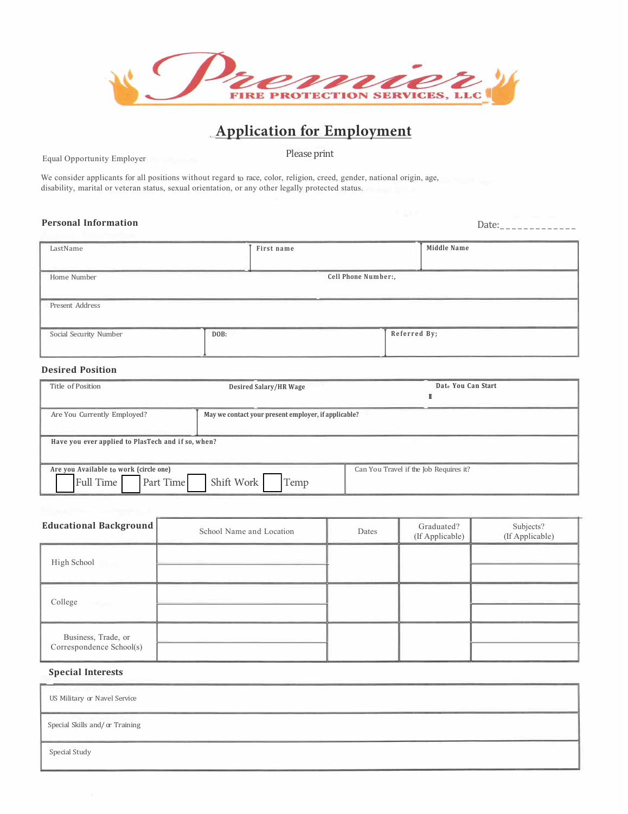|  | enne                                 |
|--|--------------------------------------|
|  | <b>FIRE PROTECTION SERVICES, LLC</b> |

## **Application for Employment**

Equal Opportunity Employer

Please print

We consider applicants for all positions without regard to race, color, religion, creed, gender, national origin, age, disability, marital or veteran status, sexual orientation, or any other legally protected status.

# **Personal Information** Date: \_\_\_\_\_\_\_\_\_\_\_\_\_

| LastName               | First name | <b>Middle Name</b>  |  |  |
|------------------------|------------|---------------------|--|--|
| Home Number            |            | Cell Phone Number:, |  |  |
| Present Address        |            |                     |  |  |
| Social Security Number | DOB:       | Referred By;        |  |  |

#### **Desired Position**

| Title of Position                                                | <b>Desired Salary/HR Wage</b>                        | Date You Can Start                     |  |  |
|------------------------------------------------------------------|------------------------------------------------------|----------------------------------------|--|--|
| Are You Currently Employed?                                      | May we contact your present employer, if applicable? |                                        |  |  |
| Have you ever applied to PlasTech and if so, when?               |                                                      |                                        |  |  |
| Are you Available to work (circle one)<br>Full Time<br>Part Time | Shift Work<br>Temp                                   | Can You Travel if the Job Requires it? |  |  |

| <b>Educational Background</b>                   | School Name and Location | Dates | Graduated?<br>(If Applicable) | Subjects?<br>(If Applicable) |
|-------------------------------------------------|--------------------------|-------|-------------------------------|------------------------------|
| High School                                     |                          |       |                               |                              |
| College                                         |                          |       |                               |                              |
| Business, Trade, or<br>Correspondence School(s) |                          |       |                               |                              |

## **Special Interests**

US Military or Navel Service Special Skills and/ or Training Special Study